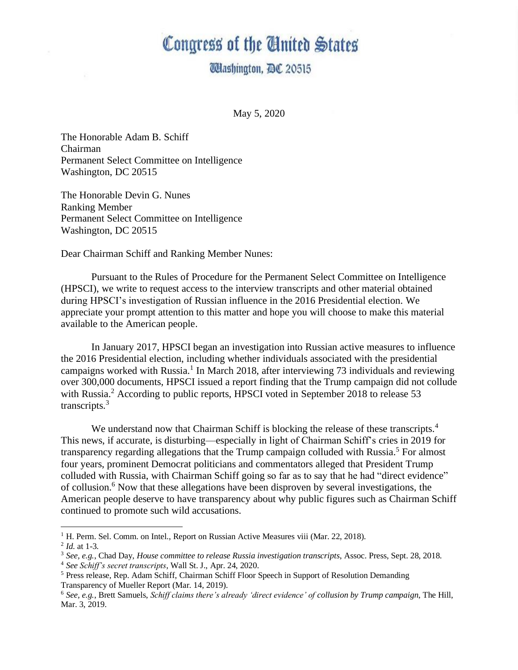## Congress of the United States

**Wlashington, DC 20515** 

May 5, 2020

The Honorable Adam B. Schiff Chairman Permanent Select Committee on Intelligence Washington, DC 20515

The Honorable Devin G. Nunes Ranking Member Permanent Select Committee on Intelligence Washington, DC 20515

Dear Chairman Schiff and Ranking Member Nunes:

Pursuant to the Rules of Procedure for the Permanent Select Committee on Intelligence (HPSCI), we write to request access to the interview transcripts and other material obtained during HPSCI's investigation of Russian influence in the 2016 Presidential election. We appreciate your prompt attention to this matter and hope you will choose to make this material available to the American people.

In January 2017, HPSCI began an investigation into Russian active measures to influence the 2016 Presidential election, including whether individuals associated with the presidential campaigns worked with Russia. 1 In March 2018, after interviewing 73 individuals and reviewing over 300,000 documents, HPSCI issued a report finding that the Trump campaign did not collude with Russia.<sup>2</sup> According to public reports, HPSCI voted in September 2018 to release 53 transcripts.<sup>3</sup>

We understand now that Chairman Schiff is blocking the release of these transcripts.<sup>4</sup> This news, if accurate, is disturbing—especially in light of Chairman Schiff's cries in 2019 for transparency regarding allegations that the Trump campaign colluded with Russia.<sup>5</sup> For almost four years, prominent Democrat politicians and commentators alleged that President Trump colluded with Russia, with Chairman Schiff going so far as to say that he had "direct evidence" of collusion.<sup>6</sup> Now that these allegations have been disproven by several investigations, the American people deserve to have transparency about why public figures such as Chairman Schiff continued to promote such wild accusations.

<sup>&</sup>lt;sup>1</sup> H. Perm. Sel. Comm. on Intel., Report on Russian Active Measures viii (Mar. 22, 2018).

<sup>2</sup> *Id.* at 1-3.

<sup>3</sup> *See, e.g.*, Chad Day, *House committee to release Russia investigation transcripts*, Assoc. Press, Sept. 28, 2018.

<sup>4</sup> *See Schiff's secret transcripts*, Wall St. J., Apr. 24, 2020.

<sup>5</sup> Press release, Rep. Adam Schiff, Chairman Schiff Floor Speech in Support of Resolution Demanding Transparency of Mueller Report (Mar. 14, 2019).

<sup>6</sup> *See, e.g.*, Brett Samuels, *Schiff claims there's already 'direct evidence' of collusion by Trump campaign*, The Hill, Mar. 3, 2019.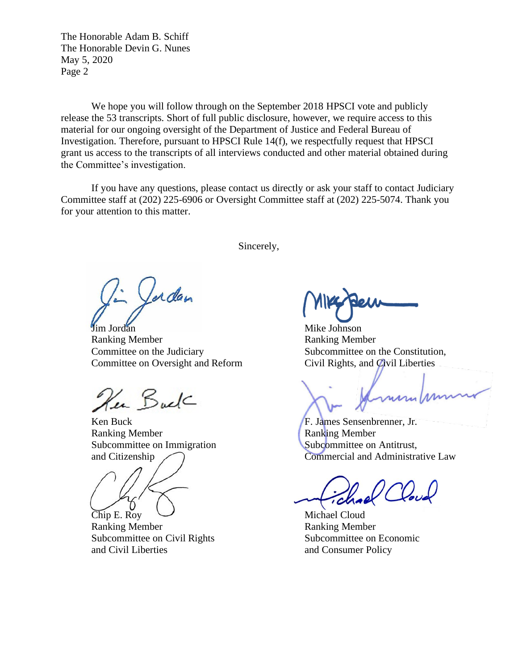The Honorable Adam B. Schiff The Honorable Devin G. Nunes May 5, 2020 Page 2

We hope you will follow through on the September 2018 HPSCI vote and publicly release the 53 transcripts. Short of full public disclosure, however, we require access to this material for our ongoing oversight of the Department of Justice and Federal Bureau of Investigation. Therefore, pursuant to HPSCI Rule 14(f), we respectfully request that HPSCI grant us access to the transcripts of all interviews conducted and other material obtained during the Committee's investigation.

If you have any questions, please contact us directly or ask your staff to contact Judiciary Committee staff at (202) 225-6906 or Oversight Committee staff at (202) 225-5074. Thank you for your attention to this matter.

Sincerely,

Jerdan

Jim Jordan Mike Johnson Ranking Member **Ranking Member** Committee on the Judiciary Subcommittee on the Constitution, Committee on Oversight and Reform Civil Rights, and Civil Liberties

Her Buck

Ken Buck F. James Sensenbrenner, Jr. Ranking Member Ranking Member Subcommittee on Immigration Subcommittee on Antitrust,

Chip E. Roy Michael Cloud

Ranking Member **Ranking Member** Subcommittee on Civil Rights Subcommittee on Economic and Civil Liberties and Consumer Policy

mmlmm

and Citizenship Commercial and Administrative Law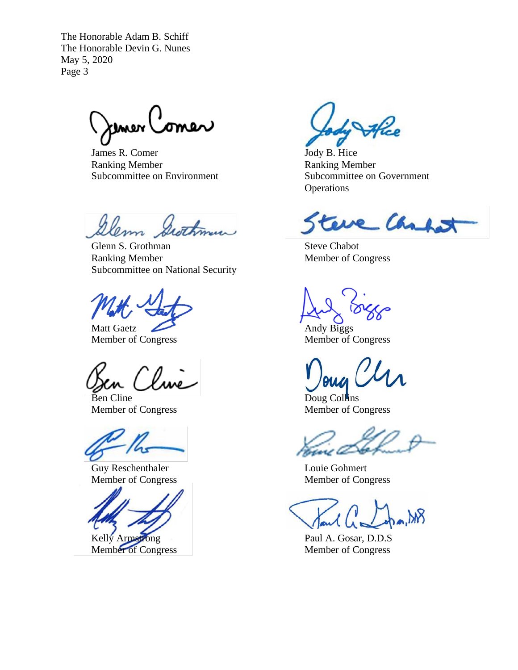The Honorable Adam B. Schiff The Honorable Devin G. Nunes May 5, 2020 Page 3

Jemer ( omer

James R. Comer Jody B. Hice Ranking Member **Ranking Member** Subcommittee on Environment Subcommittee on Government

lem Grothmur

Glenn S. Grothman Steve Chabot Ranking Member Member Member of Congress Subcommittee on National Security

Matt Gaetz Andy Biggs Member of Congress Member of Congress

Cline

Ben Cline Doug Collins Member of Congress Member of Congress

Guy Reschenthaler Louie Gohmert Member of Congress Member of Congress

Kelly Armstrong Paul A. Gosar, D.D.S

Hice

**Operations** 

tere Chap

reut

Member of Congress Member of Congress